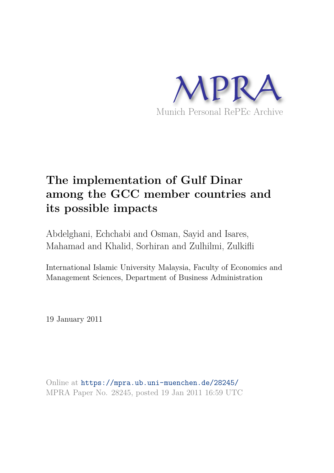

# **The implementation of Gulf Dinar among the GCC member countries and its possible impacts**

Abdelghani, Echchabi and Osman, Sayid and Isares, Mahamad and Khalid, Sorhiran and Zulhilmi, Zulkifli

International Islamic University Malaysia, Faculty of Economics and Management Sciences, Department of Business Administration

19 January 2011

Online at https://mpra.ub.uni-muenchen.de/28245/ MPRA Paper No. 28245, posted 19 Jan 2011 16:59 UTC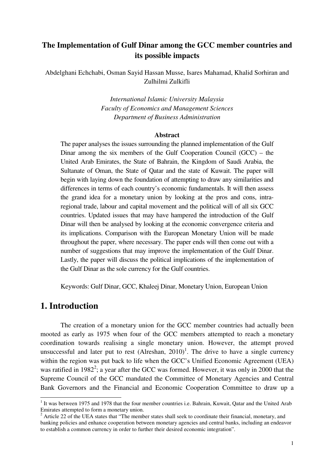# **The Implementation of Gulf Dinar among the GCC member countries and its possible impacts**

Abdelghani Echchabi, Osman Sayid Hassan Musse, Isares Mahamad, Khalid Sorhiran and Zulhilmi Zulkifli

> *International Islamic University Malaysia Faculty of Economics and Management Sciences Department of Business Administration*

#### **Abstract**

The paper analyses the issues surrounding the planned implementation of the Gulf Dinar among the six members of the Gulf Cooperation Council (GCC) – the United Arab Emirates, the State of Bahrain, the Kingdom of Saudi Arabia, the Sultanate of Oman, the State of Qatar and the state of Kuwait. The paper will begin with laying down the foundation of attempting to draw any similarities and differences in terms of each country's economic fundamentals. It will then assess the grand idea for a monetary union by looking at the pros and cons, intraregional trade, labour and capital movement and the political will of all six GCC countries. Updated issues that may have hampered the introduction of the Gulf Dinar will then be analysed by looking at the economic convergence criteria and its implications. Comparison with the European Monetary Union will be made throughout the paper, where necessary. The paper ends will then come out with a number of suggestions that may improve the implementation of the Gulf Dinar. Lastly, the paper will discuss the political implications of the implementation of the Gulf Dinar as the sole currency for the Gulf countries.

Keywords: Gulf Dinar, GCC, Khaleej Dinar, Monetary Union, European Union

# **1. Introduction**

 $\overline{a}$ 

The creation of a monetary union for the GCC member countries had actually been mooted as early as 1975 when four of the GCC members attempted to reach a monetary coordination towards realising a single monetary union. However, the attempt proved unsuccessful and later put to rest (Alreshan,  $2010$ )<sup>1</sup>. The drive to have a single currency within the region was put back to life when the GCC's Unified Economic Agreement (UEA) was ratified in 1982<sup>2</sup>; a year after the GCC was formed. However, it was only in 2000 that the Supreme Council of the GCC mandated the Committee of Monetary Agencies and Central Bank Governors and the Financial and Economic Cooperation Committee to draw up a

<sup>&</sup>lt;sup>1</sup> It was between 1975 and 1978 that the four member countries i.e. Bahrain, Kuwait, Qatar and the United Arab Emirates attempted to form a monetary union.

 $2$  Article 22 of the UEA states that "The member states shall seek to coordinate their financial, monetary, and banking policies and enhance cooperation between monetary agencies and central banks, including an endeavor to establish a common currency in order to further their desired economic integration".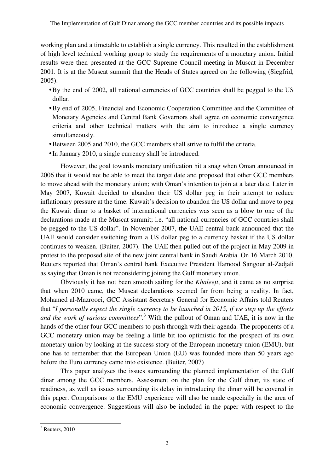working plan and a timetable to establish a single currency. This resulted in the establishment of high level technical working group to study the requirements of a monetary union. Initial results were then presented at the GCC Supreme Council meeting in Muscat in December 2001. It is at the Muscat summit that the Heads of States agreed on the following (Siegfrid, 2005):

- •By the end of 2002, all national currencies of GCC countries shall be pegged to the US dollar.
- •By end of 2005, Financial and Economic Cooperation Committee and the Committee of Monetary Agencies and Central Bank Governors shall agree on economic convergence criteria and other technical matters with the aim to introduce a single currency simultaneously.
- •Between 2005 and 2010, the GCC members shall strive to fulfil the criteria.
- In January 2010, a single currency shall be introduced.

However, the goal towards monetary unification hit a snag when Oman announced in 2006 that it would not be able to meet the target date and proposed that other GCC members to move ahead with the monetary union; with Oman's intention to join at a later date. Later in May 2007, Kuwait decided to abandon their US dollar peg in their attempt to reduce inflationary pressure at the time. Kuwait's decision to abandon the US dollar and move to peg the Kuwait dinar to a basket of international currencies was seen as a blow to one of the declarations made at the Muscat summit; i.e. "all national currencies of GCC countries shall be pegged to the US dollar". In November 2007, the UAE central bank announced that the UAE would consider switching from a US dollar peg to a currency basket if the US dollar continues to weaken. (Buiter, 2007). The UAE then pulled out of the project in May 2009 in protest to the proposed site of the new joint central bank in Saudi Arabia. On 16 March 2010, Reuters reported that Oman's central bank Executive President Hamood Sangour al-Zadjali as saying that Oman is not reconsidering joining the Gulf monetary union.

Obviously it has not been smooth sailing for the *Khaleeji*, and it came as no surprise that when 2010 came, the Muscat declarations seemed far from being a reality. In fact, Mohamed al-Mazrooei, GCC Assistant Secretary General for Economic Affairs told Reuters that "*I personally expect the single currency to be launched in 2015, if we step up the efforts and the work of various committees*".<sup>3</sup> With the pullout of Oman and UAE, it is now in the hands of the other four GCC members to push through with their agenda. The proponents of a GCC monetary union may be feeling a little bit too optimistic for the prospect of its own monetary union by looking at the success story of the European monetary union (EMU), but one has to remember that the European Union (EU) was founded more than 50 years ago before the Euro currency came into existence. (Buiter, 2007)

This paper analyses the issues surrounding the planned implementation of the Gulf dinar among the GCC members. Assessment on the plan for the Gulf dinar, its state of readiness, as well as issues surrounding its delay in introducing the dinar will be covered in this paper. Comparisons to the EMU experience will also be made especially in the area of economic convergence. Suggestions will also be included in the paper with respect to the

 $3$  Reuters, 2010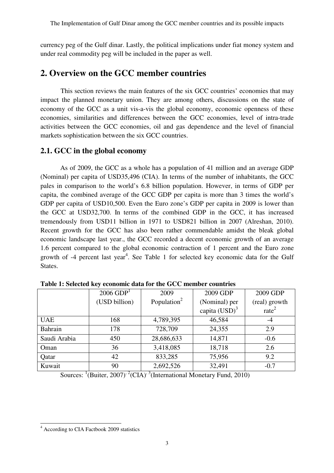currency peg of the Gulf dinar. Lastly, the political implications under fiat money system and under real commodity peg will be included in the paper as well.

# **2. Overview on the GCC member countries**

This section reviews the main features of the six GCC countries' economies that may impact the planned monetary union. They are among others, discussions on the state of economy of the GCC as a unit vis-a-vis the global economy, economic openness of these economies, similarities and differences between the GCC economies, level of intra-trade activities between the GCC economies, oil and gas dependence and the level of financial markets sophistication between the six GCC countries.

# **2.1. GCC in the global economy**

As of 2009, the GCC as a whole has a population of 41 million and an average GDP (Nominal) per capita of USD35,496 (CIA). In terms of the number of inhabitants, the GCC pales in comparison to the world's 6.8 billion population. However, in terms of GDP per capita, the combined average of the GCC GDP per capita is more than 3 times the world's GDP per capita of USD10,500. Even the Euro zone's GDP per capita in 2009 is lower than the GCC at USD32,700. In terms of the combined GDP in the GCC, it has increased tremendously from USD11 billion in 1971 to USD821 billion in 2007 (Alreshan, 2010). Recent growth for the GCC has also been rather commendable amidst the bleak global economic landscape last year., the GCC recorded a decent economic growth of an average 1.6 percent compared to the global economic contraction of 1 percent and the Euro zone growth of -4 percent last year<sup>4</sup>. See Table 1 for selected key economic data for the Gulf States.

|              | $2006$ GDP <sup>1</sup> | 2009           | 2009 GDP         | 2009 GDP        |
|--------------|-------------------------|----------------|------------------|-----------------|
|              | (USD billion)           | Population $2$ | (Nominal) per    | (real) growth   |
|              |                         |                | capita $(USD)^3$ | $\text{rate}^2$ |
| <b>UAE</b>   | 168                     | 4,789,395      | 46,584           | -4              |
| Bahrain      | 178                     | 728,709        | 24,355           | 2.9             |
| Saudi Arabia | 450                     | 28,686,633     | 14,871           | $-0.6$          |
| Oman         | 36                      | 3,418,085      | 18,718           | 2.6             |
| Qatar        | 42                      | 833,285        | 75,956           | 9.2             |
| Kuwait       | 90                      | 2,692,526      | 32,491           | $-0.7$          |

**Table 1: Selected key economic data for the GCC member countries** 

Sources: <sup>1</sup>(Buiter, 2007)<sup>, 2</sup>(CIA)<sup>, 3</sup>(International Monetary Fund, 2010)

 4 According to CIA Factbook 2009 statistics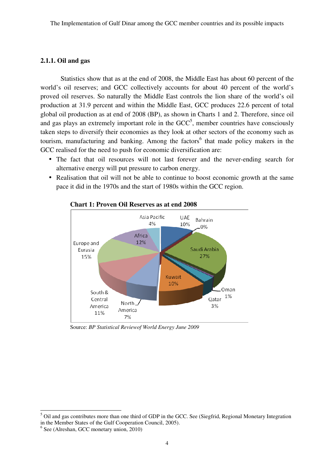#### **2.1.1. Oil and gas**

Statistics show that as at the end of 2008, the Middle East has about 60 percent of the world's oil reserves; and GCC collectively accounts for about 40 percent of the world's proved oil reserves. So naturally the Middle East controls the lion share of the world's oil production at 31.9 percent and within the Middle East, GCC produces 22.6 percent of total global oil production as at end of 2008 (BP), as shown in Charts 1 and 2. Therefore, since oil and gas plays an extremely important role in the  $GCC<sup>5</sup>$ , member countries have consciously taken steps to diversify their economies as they look at other sectors of the economy such as tourism, manufacturing and banking. Among the factors<sup>6</sup> that made policy makers in the GCC realised for the need to push for economic diversification are:

- The fact that oil resources will not last forever and the never-ending search for alternative energy will put pressure to carbon energy.
- Realisation that oil will not be able to continue to boost economic growth at the same pace it did in the 1970s and the start of 1980s within the GCC region.



#### **Chart 1: Proven Oil Reserves as at end 2008**

Source: *BP Statistical Reviewof World Energy June 2009*

<sup>&</sup>lt;sup>5</sup> Oil and gas contributes more than one third of GDP in the GCC. See (Siegfrid, Regional Monetary Integration in the Member States of the Gulf Cooperation Council, 2005).

<sup>6</sup> See (Alreshan, GCC monetary union, 2010)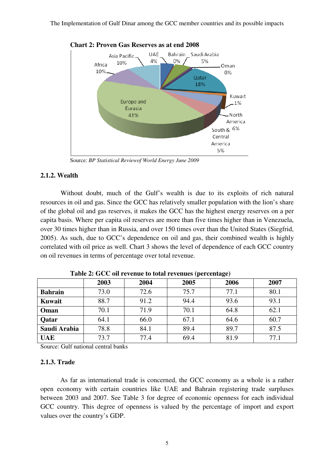

Source: *BP Statistical Reviewof World Energy June 2009* 

#### **2.1.2. Wealth**

Without doubt, much of the Gulf's wealth is due to its exploits of rich natural resources in oil and gas. Since the GCC has relatively smaller population with the lion's share of the global oil and gas reserves, it makes the GCC has the highest energy reserves on a per capita basis. Where per capita oil reserves are more than five times higher than in Venezuela, over 30 times higher than in Russia, and over 150 times over than the United States (Siegfrid, 2005). As such, due to GCC's dependence on oil and gas, their combined wealth is highly correlated with oil price as well. Chart 3 shows the level of dependence of each GCC country on oil revenues in terms of percentage over total revenue.

|                | 2003 | 2004 | 2005 | 2006 | 2007 |
|----------------|------|------|------|------|------|
| <b>Bahrain</b> | 73.0 | 72.6 | 75.7 | 77.1 | 80.1 |
| Kuwait         | 88.7 | 91.2 | 94.4 | 93.6 | 93.1 |
| Oman           | 70.1 | 71.9 | 70.1 | 64.8 | 62.1 |
| Qatar          | 64.1 | 66.0 | 67.1 | 64.6 | 60.7 |
| Saudi Arabia   | 78.8 | 84.1 | 89.4 | 89.7 | 87.5 |
| <b>UAE</b>     | 73.7 | 77.4 | 69.4 | 81.9 | 77.1 |

**Table 2: GCC oil revenue to total revenues (percentage)** 

Source: Gulf national central banks

#### **2.1.3. Trade**

As far as international trade is concerned, the GCC economy as a whole is a rather open economy with certain countries like UAE and Bahrain registering trade surpluses between 2003 and 2007. See Table 3 for degree of economic openness for each individual GCC country. This degree of openness is valued by the percentage of import and export values over the country's GDP.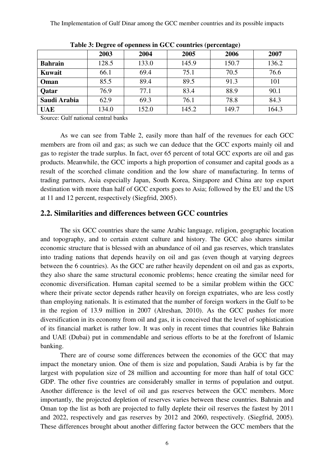The Implementation of Gulf Dinar among the GCC member countries and its possible impacts

|                | 2003  | 2004  | 2005  | 2006  | 2007  |
|----------------|-------|-------|-------|-------|-------|
| <b>Bahrain</b> | 128.5 | 133.0 | 145.9 | 150.7 | 136.2 |
| Kuwait         | 66.1  | 69.4  | 75.1  | 70.5  | 76.6  |
| Oman           | 85.5  | 89.4  | 89.5  | 91.3  | 101   |
| Qatar          | 76.9  | 77.1  | 83.4  | 88.9  | 90.1  |
| Saudi Arabia   | 62.9  | 69.3  | 76.1  | 78.8  | 84.3  |
| <b>UAE</b>     | 134.0 | 152.0 | 145.2 | 149.7 | 164.3 |

**Table 3: Degree of openness in GCC countries (percentage)** 

Source: Gulf national central banks

As we can see from Table 2, easily more than half of the revenues for each GCC members are from oil and gas; as such we can deduce that the GCC exports mainly oil and gas to register the trade surplus. In fact, over 65 percent of total GCC exports are oil and gas products. Meanwhile, the GCC imports a high proportion of consumer and capital goods as a result of the scorched climate condition and the low share of manufacturing. In terms of trading partners, Asia especially Japan, South Korea, Singapore and China are top export destination with more than half of GCC exports goes to Asia; followed by the EU and the US at 11 and 12 percent, respectively (Siegfrid, 2005).

#### **2.2. Similarities and differences between GCC countries**

The six GCC countries share the same Arabic language, religion, geographic location and topography, and to certain extent culture and history. The GCC also shares similar economic structure that is blessed with an abundance of oil and gas reserves, which translates into trading nations that depends heavily on oil and gas (even though at varying degrees between the 6 countries). As the GCC are rather heavily dependent on oil and gas as exports, they also share the same structural economic problems; hence creating the similar need for economic diversification. Human capital seemed to be a similar problem within the GCC where their private sector depends rather heavily on foreign expatriates, who are less costly than employing nationals. It is estimated that the number of foreign workers in the Gulf to be in the region of 13.9 million in 2007 (Alreshan, 2010). As the GCC pushes for more diversification in its economy from oil and gas, it is conceived that the level of sophistication of its financial market is rather low. It was only in recent times that countries like Bahrain and UAE (Dubai) put in commendable and serious efforts to be at the forefront of Islamic banking.

There are of course some differences between the economies of the GCC that may impact the monetary union. One of them is size and population, Saudi Arabia is by far the largest with population size of 28 million and accounting for more than half of total GCC GDP. The other five countries are considerably smaller in terms of population and output. Another difference is the level of oil and gas reserves between the GCC members. More importantly, the projected depletion of reserves varies between these countries. Bahrain and Oman top the list as both are projected to fully deplete their oil reserves the fastest by 2011 and 2022, respectively and gas reserves by 2012 and 2060, respectively. (Siegfrid, 2005). These differences brought about another differing factor between the GCC members that the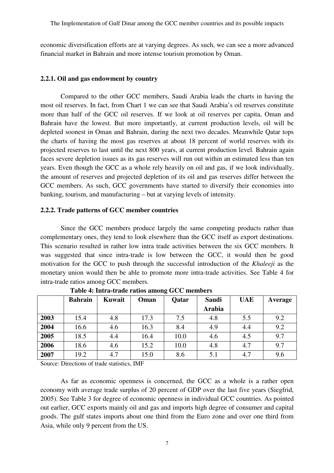economic diversification efforts are at varying degrees. As such, we can see a more advanced financial market in Bahrain and more intense tourism promotion by Oman.

#### **2.2.1. Oil and gas endowment by country**

Compared to the other GCC members, Saudi Arabia leads the charts in having the most oil reserves. In fact, from Chart 1 we can see that Saudi Arabia's oil reserves constitute more than half of the GCC oil reserves. If we look at oil reserves per capita, Oman and Bahrain have the lowest. But more importantly, at current production levels, oil will be depleted soonest in Oman and Bahrain, during the next two decades. Meanwhile Qatar tops the charts of having the most gas reserves at about 18 percent of world reserves with its projected reserves to last until the next 800 years, at current production level. Bahrain again faces severe depletion issues as its gas reserves will run out within an estimated less than ten years. Even though the GCC as a whole rely heavily on oil and gas, if we look individually, the amount of reserves and projected depletion of its oil and gas reserves differ between the GCC members. As such, GCC governments have started to diversify their economies into banking, tourism, and manufacturing – but at varying levels of intensity.

#### **2.2.2. Trade patterns of GCC member countries**

Since the GCC members produce largely the same competing products rather than complementary ones, they tend to look elsewhere than the GCC itself as export destinations. This scenario resulted in rather low intra trade activities between the six GCC members. It was suggested that since intra-trade is low between the GCC, it would then be good motivation for the GCC to push through the successful introduction of the *Khaleeji* as the monetary union would then be able to promote more intra-trade activities. See Table 4 for intra-trade ratios among GCC members.

|      | <b>Bahrain</b> | Kuwait | Oman | <b>Qatar</b> | <b>Saudi</b>  | <b>UAE</b> | Average |
|------|----------------|--------|------|--------------|---------------|------------|---------|
|      |                |        |      |              | <b>Arabia</b> |            |         |
| 2003 | 15.4           | 4.8    | 17.3 | 7.5          | 4.8           | 5.5        | 9.2     |
| 2004 | 16.6           | 4.6    | 16.3 | 8.4          | 4.9           | 4.4        | 9.2     |
| 2005 | 18.5           | 4.4    | 16.4 | 10.0         | 4.6           | 4.5        | 9.7     |
| 2006 | 18.6           | 4.6    | 15.2 | 10.0         | 4.8           | 4.7        | 9.7     |
| 2007 | 19.2           | 4.7    | 15.0 | 8.6          | 5.1           | 4.7        | 9.6     |

**Table 4: Intra-trade ratios among GCC members** 

Source: Directions of trade statistics, IMF

As far as economic openness is concerned, the GCC as a whole is a rather open economy with average trade surplus of 20 percent of GDP over the last five years (Siegfrid, 2005). See Table 3 for degree of economic openness in individual GCC countries. As pointed out earlier, GCC exports mainly oil and gas and imports high degree of consumer and capital goods. The gulf states imports about one third from the Euro zone and over one third from Asia, while only 9 percent from the US.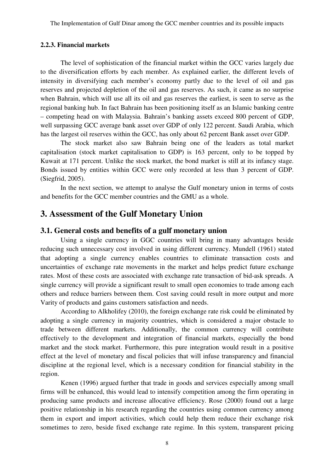#### **2.2.3. Financial markets**

The level of sophistication of the financial market within the GCC varies largely due to the diversification efforts by each member. As explained earlier, the different levels of intensity in diversifying each member's economy partly due to the level of oil and gas reserves and projected depletion of the oil and gas reserves. As such, it came as no surprise when Bahrain, which will use all its oil and gas reserves the earliest, is seen to serve as the regional banking hub. In fact Bahrain has been positioning itself as an Islamic banking centre – competing head on with Malaysia. Bahrain's banking assets exceed 800 percent of GDP, well surpassing GCC average bank asset over GDP of only 122 percent. Saudi Arabia, which has the largest oil reserves within the GCC, has only about 62 percent Bank asset over GDP.

The stock market also saw Bahrain being one of the leaders as total market capitalisation (stock market capitalisation to GDP) is 163 percent, only to be topped by Kuwait at 171 percent. Unlike the stock market, the bond market is still at its infancy stage. Bonds issued by entities within GCC were only recorded at less than 3 percent of GDP. (Siegfrid, 2005).

In the next section, we attempt to analyse the Gulf monetary union in terms of costs and benefits for the GCC member countries and the GMU as a whole.

# **3. Assessment of the Gulf Monetary Union**

#### **3.1. General costs and benefits of a gulf monetary union**

Using a single currency in GGC countries will bring in many advantages beside reducing such unnecessary cost involved in using different currency. Mundell (1961) stated that adopting a single currency enables countries to eliminate transaction costs and uncertainties of exchange rate movements in the market and helps predict future exchange rates. Most of these costs are associated with exchange rate transaction of bid-ask spreads. A single currency will provide a significant result to small open economies to trade among each others and reduce barriers between them. Cost saving could result in more output and more Varity of products and gains customers satisfaction and needs.

According to Alkholifey (2010), the foreign exchange rate risk could be eliminated by adopting a single currency in majority countries, which is considered a major obstacle to trade between different markets. Additionally, the common currency will contribute effectively to the development and integration of financial markets, especially the bond market and the stock market. Furthermore, this pure integration would result in a positive effect at the level of monetary and fiscal policies that will infuse transparency and financial discipline at the regional level, which is a necessary condition for financial stability in the region.

Kenen (1996) argued further that trade in goods and services especially among small firms will be enhanced, this would lead to intensify competition among the firm operating in producing same products and increase allocative efficiency. Rose (2000) found out a large positive relationship in his research regarding the countries using common currency among them in export and import activities, which could help them reduce their exchange risk sometimes to zero, beside fixed exchange rate regime. In this system, transparent pricing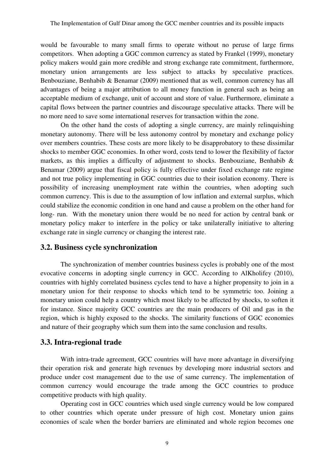would be favourable to many small firms to operate without no peruse of large firms competitors. When adopting a GGC common currency as stated by Frankel (1999), monetary policy makers would gain more credible and strong exchange rate commitment, furthermore, monetary union arrangements are less subject to attacks by speculative practices. Benbouziane, Benhabib & Benamar (2009) mentioned that as well, common currency has all advantages of being a major attribution to all money function in general such as being an acceptable medium of exchange, unit of account and store of value. Furthermore, eliminate a capital flows between the partner countries and discourage speculative attacks. There will be no more need to save some international reserves for transaction within the zone.

On the other hand the costs of adopting a single currency, are mainly relinquishing monetary autonomy. There will be less autonomy control by monetary and exchange policy over members countries. These costs are more likely to be disapprobatory to these dissimilar shocks to member GGC economies. In other word, costs tend to lower the flexibility of factor markets, as this implies a difficulty of adjustment to shocks. Benbouziane, Benhabib & Benamar (2009) argue that fiscal policy is fully effective under fixed exchange rate regime and not true policy implementing in GGC countries due to their isolation economy. There is possibility of increasing unemployment rate within the countries, when adopting such common currency. This is due to the assumption of low inflation and external surplus, which could stabilize the economic condition in one hand and cause a problem on the other hand for long- run. With the monetary union there would be no need for action by central bank or monetary policy maker to interfere in the policy or take unilaterally initiative to altering exchange rate in single currency or changing the interest rate.

#### **3.2. Business cycle synchronization**

The synchronization of member countries business cycles is probably one of the most evocative concerns in adopting single currency in GCC. According to AlKholifey (2010), countries with highly correlated business cycles tend to have a higher propensity to join in a monetary union for their response to shocks which tend to be symmetric too. Joining a monetary union could help a country which most likely to be affected by shocks, to soften it for instance. Since majority GCC countries are the main producers of Oil and gas in the region, which is highly exposed to the shocks. The similarity functions of GGC economies and nature of their geography which sum them into the same conclusion and results.

# **3.3. Intra-regional trade**

With intra-trade agreement, GCC countries will have more advantage in diversifying their operation risk and generate high revenues by developing more industrial sectors and produce under cost management due to the use of same currency. The implementation of common currency would encourage the trade among the GCC countries to produce competitive products with high quality.

Operating cost in GCC countries which used single currency would be low compared to other countries which operate under pressure of high cost. Monetary union gains economies of scale when the border barriers are eliminated and whole region becomes one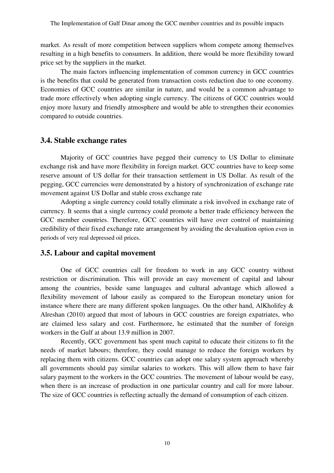market. As result of more competition between suppliers whom compete among themselves resulting in a high benefits to consumers. In addition, there would be more flexibility toward price set by the suppliers in the market.

The main factors influencing implementation of common currency in GCC countries is the benefits that could be generated from transaction costs reduction due to one economy. Economies of GCC countries are similar in nature, and would be a common advantage to trade more effectively when adopting single currency. The citizens of GCC countries would enjoy more luxury and friendly atmosphere and would be able to strengthen their economies compared to outside countries.

### **3.4. Stable exchange rates**

 Majority of GCC countries have pegged their currency to US Dollar to eliminate exchange risk and have more flexibility in foreign market. GCC countries have to keep some reserve amount of US dollar for their transaction settlement in US Dollar. As result of the pegging, GCC currencies were demonstrated by a history of synchronization of exchange rate movement against US Dollar and stable cross exchange rate

Adopting a single currency could totally eliminate a risk involved in exchange rate of currency. It seems that a single currency could promote a better trade efficiency between the GCC member countries. Therefore, GCC countries will have over control of maintaining credibility of their fixed exchange rate arrangement by avoiding the devaluation option even in periods of very real depressed oil prices.

# **3.5. Labour and capital movement**

One of GCC countries call for freedom to work in any GCC country without restriction or discrimination. This will provide an easy movement of capital and labour among the countries, beside same languages and cultural advantage which allowed a flexibility movement of labour easily as compared to the European monetary union for instance where there are many different spoken languages. On the other hand, AlKholifey  $\&$ Alreshan (2010) argued that most of labours in GCC countries are foreign expatriates, who are claimed less salary and cost. Furthermore, he estimated that the number of foreign workers in the Gulf at about 13.9 million in 2007.

Recently, GCC government has spent much capital to educate their citizens to fit the needs of market labours; therefore, they could manage to reduce the foreign workers by replacing them with citizens. GCC countries can adopt one salary system approach whereby all governments should pay similar salaries to workers. This will allow them to have fair salary payment to the workers in the GCC countries. The movement of labour would be easy, when there is an increase of production in one particular country and call for more labour. The size of GCC countries is reflecting actually the demand of consumption of each citizen.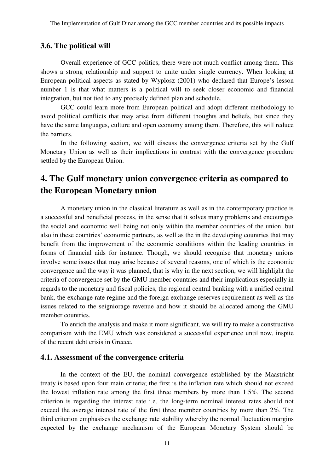#### **3.6. The political will**

Overall experience of GCC politics, there were not much conflict among them. This shows a strong relationship and support to unite under single currency. When looking at European political aspects as stated by Wyplosz (2001) who declared that Europe's lesson number 1 is that what matters is a political will to seek closer economic and financial integration, but not tied to any precisely defined plan and schedule.

GCC could learn more from European political and adopt different methodology to avoid political conflicts that may arise from different thoughts and beliefs, but since they have the same languages, culture and open economy among them. Therefore, this will reduce the barriers.

In the following section, we will discuss the convergence criteria set by the Gulf Monetary Union as well as their implications in contrast with the convergence procedure settled by the European Union.

# **4. The Gulf monetary union convergence criteria as compared to the European Monetary union**

A monetary union in the classical literature as well as in the contemporary practice is a successful and beneficial process, in the sense that it solves many problems and encourages the social and economic well being not only within the member countries of the union, but also in these countries' economic partners, as well as the in the developing countries that may benefit from the improvement of the economic conditions within the leading countries in forms of financial aids for instance. Though, we should recognise that monetary unions involve some issues that may arise because of several reasons, one of which is the economic convergence and the way it was planned, that is why in the next section, we will highlight the criteria of convergence set by the GMU member countries and their implications especially in regards to the monetary and fiscal policies, the regional central banking with a unified central bank, the exchange rate regime and the foreign exchange reserves requirement as well as the issues related to the seigniorage revenue and how it should be allocated among the GMU member countries.

To enrich the analysis and make it more significant, we will try to make a constructive comparison with the EMU which was considered a successful experience until now, inspite of the recent debt crisis in Greece.

#### **4.1. Assessment of the convergence criteria**

In the context of the EU, the nominal convergence established by the Maastricht treaty is based upon four main criteria; the first is the inflation rate which should not exceed the lowest inflation rate among the first three members by more than 1.5%. The second criterion is regarding the interest rate i.e. the long-term nominal interest rates should not exceed the average interest rate of the first three member countries by more than 2%. The third criterion emphasises the exchange rate stability whereby the normal fluctuation margins expected by the exchange mechanism of the European Monetary System should be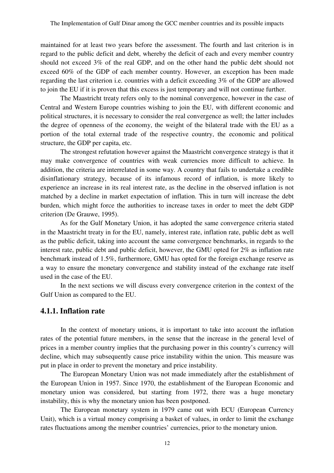maintained for at least two years before the assessment. The fourth and last criterion is in regard to the public deficit and debt, whereby the deficit of each and every member country should not exceed 3% of the real GDP, and on the other hand the public debt should not exceed 60% of the GDP of each member country. However, an exception has been made regarding the last criterion i.e. countries with a deficit exceeding 3% of the GDP are allowed to join the EU if it is proven that this excess is just temporary and will not continue further.

The Maastricht treaty refers only to the nominal convergence, however in the case of Central and Western Europe countries wishing to join the EU, with different economic and political structures, it is necessary to consider the real convergence as well; the latter includes the degree of openness of the economy, the weight of the bilateral trade with the EU as a portion of the total external trade of the respective country, the economic and political structure, the GDP per capita, etc.

The strongest refutation however against the Maastricht convergence strategy is that it may make convergence of countries with weak currencies more difficult to achieve. In addition, the criteria are interrelated in some way. A country that fails to undertake a credible disinflationary strategy, because of its infamous record of inflation, is more likely to experience an increase in its real interest rate, as the decline in the observed inflation is not matched by a decline in market expectation of inflation. This in turn will increase the debt burden, which might force the authorities to increase taxes in order to meet the debt GDP criterion (De Grauwe, 1995).

As for the Gulf Monetary Union, it has adopted the same convergence criteria stated in the Maastricht treaty in for the EU, namely, interest rate, inflation rate, public debt as well as the public deficit, taking into account the same convergence benchmarks, in regards to the interest rate, public debt and public deficit, however, the GMU opted for 2% as inflation rate benchmark instead of 1.5%, furthermore, GMU has opted for the foreign exchange reserve as a way to ensure the monetary convergence and stability instead of the exchange rate itself used in the case of the EU.

In the next sections we will discuss every convergence criterion in the context of the Gulf Union as compared to the EU.

#### **4.1.1. Inflation rate**

In the context of monetary unions, it is important to take into account the inflation rates of the potential future members, in the sense that the increase in the general level of prices in a member country implies that the purchasing power in this country's currency will decline, which may subsequently cause price instability within the union. This measure was put in place in order to prevent the monetary and price instability.

The European Monetary Union was not made immediately after the establishment of the European Union in 1957. Since 1970, the establishment of the European Economic and monetary union was considered, but starting from 1972, there was a huge monetary instability, this is why the monetary union has been postponed.

The European monetary system in 1979 came out with ECU (European Currency Unit), which is a virtual money comprising a basket of values, in order to limit the exchange rates fluctuations among the member countries' currencies, prior to the monetary union.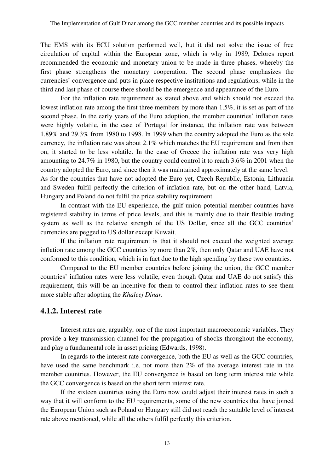The EMS with its ECU solution performed well, but it did not solve the issue of free circulation of capital within the European zone, which is why in 1989, Delores report recommended the economic and monetary union to be made in three phases, whereby the first phase strengthens the monetary cooperation. The second phase emphasizes the currencies' convergence and puts in place respective institutions and regulations, while in the third and last phase of course there should be the emergence and appearance of the Euro.

For the inflation rate requirement as stated above and which should not exceed the lowest inflation rate among the first three members by more than 1.5%, it is set as part of the second phase. In the early years of the Euro adoption, the member countries' inflation rates were highly volatile, in the case of Portugal for instance, the inflation rate was between 1.89% and 29.3% from 1980 to 1998. In 1999 when the country adopted the Euro as the sole currency, the inflation rate was about 2.1% which matches the EU requirement and from then on, it started to be less volatile. In the case of Greece the inflation rate was very high amounting to 24.7% in 1980, but the country could control it to reach 3.6% in 2001 when the country adopted the Euro, and since then it was maintained approximately at the same level. As for the countries that have not adopted the Euro yet, Czech Republic, Estonia, Lithuania

and Sweden fulfil perfectly the criterion of inflation rate, but on the other hand, Latvia, Hungary and Poland do not fulfil the price stability requirement.

In contrast with the EU experience, the gulf union potential member countries have registered stability in terms of price levels, and this is mainly due to their flexible trading system as well as the relative strength of the US Dollar, since all the GCC countries' currencies are pegged to US dollar except Kuwait.

If the inflation rate requirement is that it should not exceed the weighted average inflation rate among the GCC countries by more than 2%, then only Qatar and UAE have not conformed to this condition, which is in fact due to the high spending by these two countries.

Compared to the EU member countries before joining the union, the GCC member countries' inflation rates were less volatile, even though Qatar and UAE do not satisfy this requirement, this will be an incentive for them to control their inflation rates to see them more stable after adopting the *Khaleej Dinar.* 

# **4.1.2. Interest rate**

Interest rates are, arguably, one of the most important macroeconomic variables. They provide a key transmission channel for the propagation of shocks throughout the economy, and play a fundamental role in asset pricing (Edwards, 1998).

 In regards to the interest rate convergence, both the EU as well as the GCC countries, have used the same benchmark i.e. not more than 2% of the average interest rate in the member countries. However, the EU convergence is based on long term interest rate while the GCC convergence is based on the short term interest rate.

 If the sixteen countries using the Euro now could adjust their interest rates in such a way that it will conform to the EU requirements, some of the new countries that have joined the European Union such as Poland or Hungary still did not reach the suitable level of interest rate above mentioned, while all the others fulfil perfectly this criterion.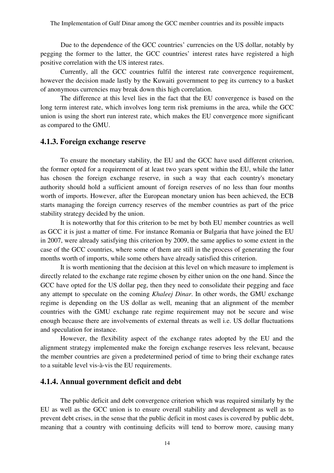Due to the dependence of the GCC countries' currencies on the US dollar, notably by pegging the former to the latter, the GCC countries' interest rates have registered a high positive correlation with the US interest rates.

Currently, all the GCC countries fulfil the interest rate convergence requirement, however the decision made lastly by the Kuwaiti government to peg its currency to a basket of anonymous currencies may break down this high correlation.

The difference at this level lies in the fact that the EU convergence is based on the long term interest rate, which involves long term risk premiums in the area, while the GCC union is using the short run interest rate, which makes the EU convergence more significant as compared to the GMU.

#### **4.1.3. Foreign exchange reserve**

To ensure the monetary stability, the EU and the GCC have used different criterion, the former opted for a requirement of at least two years spent within the EU, while the latter has chosen the foreign exchange reserve, in such a way that each country's monetary authority should hold a sufficient amount of foreign reserves of no less than four months worth of imports. However, after the European monetary union has been achieved, the ECB starts managing the foreign currency reserves of the member countries as part of the price stability strategy decided by the union.

It is noteworthy that for this criterion to be met by both EU member countries as well as GCC it is just a matter of time. For instance Romania or Bulgaria that have joined the EU in 2007, were already satisfying this criterion by 2009, the same applies to some extent in the case of the GCC countries, where some of them are still in the process of generating the four months worth of imports, while some others have already satisfied this criterion.

It is worth mentioning that the decision at this level on which measure to implement is directly related to the exchange rate regime chosen by either union on the one hand. Since the GCC have opted for the US dollar peg, then they need to consolidate their pegging and face any attempt to speculate on the coming *Khaleej Dinar*. In other words, the GMU exchange regime is depending on the US dollar as well, meaning that an alignment of the member countries with the GMU exchange rate regime requirement may not be secure and wise enough because there are involvements of external threats as well i.e. US dollar fluctuations and speculation for instance.

However, the flexibility aspect of the exchange rates adopted by the EU and the alignment strategy implemented make the foreign exchange reserves less relevant, because the member countries are given a predetermined period of time to bring their exchange rates to a suitable level vis-à-vis the EU requirements.

#### **4.1.4. Annual government deficit and debt**

The public deficit and debt convergence criterion which was required similarly by the EU as well as the GCC union is to ensure overall stability and development as well as to prevent debt crises, in the sense that the public deficit in most cases is covered by public debt, meaning that a country with continuing deficits will tend to borrow more, causing many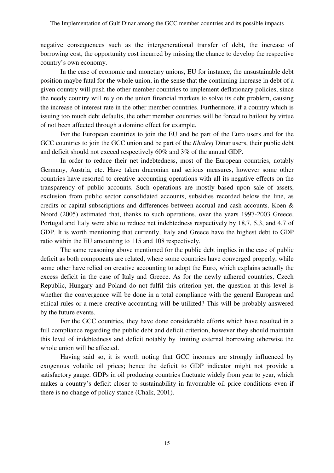negative consequences such as the intergenerational transfer of debt, the increase of borrowing cost, the opportunity cost incurred by missing the chance to develop the respective country's own economy.

In the case of economic and monetary unions, EU for instance, the unsustainable debt position maybe fatal for the whole union, in the sense that the continuing increase in debt of a given country will push the other member countries to implement deflationary policies, since the needy country will rely on the union financial markets to solve its debt problem, causing the increase of interest rate in the other member countries. Furthermore, if a country which is issuing too much debt defaults, the other member countries will be forced to bailout by virtue of not been affected through a domino effect for example.

For the European countries to join the EU and be part of the Euro users and for the GCC countries to join the GCC union and be part of the *Khaleej* Dinar users, their public debt and deficit should not exceed respectively 60% and 3% of the annual GDP.

In order to reduce their net indebtedness, most of the European countries, notably Germany, Austria, etc. Have taken draconian and serious measures, however some other countries have resorted to creative accounting operations with all its negative effects on the transparency of public accounts. Such operations are mostly based upon sale of assets, exclusion from public sector consolidated accounts, subsidies recorded below the line, as credits or capital subscriptions and differences between accrual and cash accounts. Koen & Noord (2005) estimated that, thanks to such operations, over the years 1997-2003 Greece, Portugal and Italy were able to reduce net indebtedness respectively by 18,7, 5,3, and 4,7 of GDP. It is worth mentioning that currently, Italy and Greece have the highest debt to GDP ratio within the EU amounting to 115 and 108 respectively.

The same reasoning above mentioned for the public debt implies in the case of public deficit as both components are related, where some countries have converged properly, while some other have relied on creative accounting to adopt the Euro, which explains actually the excess deficit in the case of Italy and Greece. As for the newly adhered countries, Czech Republic, Hungary and Poland do not fulfil this criterion yet, the question at this level is whether the convergence will be done in a total compliance with the general European and ethical rules or a mere creative accounting will be utilized? This will be probably answered by the future events.

For the GCC countries, they have done considerable efforts which have resulted in a full compliance regarding the public debt and deficit criterion, however they should maintain this level of indebtedness and deficit notably by limiting external borrowing otherwise the whole union will be affected.

Having said so, it is worth noting that GCC incomes are strongly influenced by exogenous volatile oil prices; hence the deficit to GDP indicator might not provide a satisfactory gauge. GDPs in oil producing countries fluctuate widely from year to year, which makes a country's deficit closer to sustainability in favourable oil price conditions even if there is no change of policy stance (Chalk, 2001).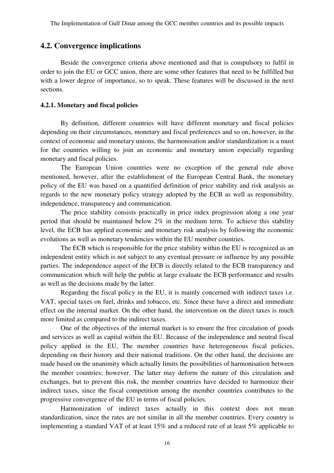#### **4.2. Convergence implications**

Beside the convergence criteria above mentioned and that is compulsory to fulfil in order to join the EU or GCC union, there are some other features that need to be fulfilled but with a lower degree of importance, so to speak. These features will be discussed in the next sections.

#### **4.2.1. Monetary and fiscal policies**

By definition, different countries will have different monetary and fiscal policies depending on their circumstances, monetary and fiscal preferences and so on, however, in the context of economic and monetary unions, the harmonisation and/or standardization is a must for the countries willing to join an economic and monetary union especially regarding monetary and fiscal policies.

 The European Union countries were no exception of the general rule above mentioned, however, after the establishment of the European Central Bank, the monetary policy of the EU was based on a quantified definition of price stability and risk analysis as regards to the new monetary policy strategy adopted by the ECB as well as responsibility, independence, transparency and communication.

 The price stability consists practically in price index progression along a one year period that should be maintained below 2% in the medium term. To achieve this stability level, the ECB has applied economic and monetary risk analysis by following the economic evolutions as well as monetary tendencies within the EU member countries.

 The ECB which is responsible for the price stability within the EU is recognized as an independent entity which is not subject to any eventual pressure or influence by any possible parties. The independence aspect of the ECB is directly related to the ECB transparency and communication which will help the public at large evaluate the ECB performance and results as well as the decisions made by the latter.

 Regarding the fiscal policy in the EU, it is mainly concerned with indirect taxes i.e. VAT, special taxes on fuel, drinks and tobacco, etc. Since these have a direct and immediate effect on the internal market. On the other hand, the intervention on the direct taxes is much more limited as compared to the indirect taxes.

 One of the objectives of the internal market is to ensure the free circulation of goods and services as well as capital within the EU. Because of the independence and neutral fiscal policy applied in the EU, The member countries have heterogeneous fiscal policies, depending on their history and their national traditions. On the other hand, the decisions are made based on the unanimity which actually limits the possibilities of harmonisation between the member countries; however. The latter may deform the nature of this circulation and exchanges, but to prevent this risk, the member countries have decided to harmonize their indirect taxes, since the fiscal competition among the member countries contributes to the progressive convergence of the EU in terms of fiscal policies.

 Harmonization of indirect taxes actually in this context does not mean standardization, since the rates are not similar in all the member countries. Every country is implementing a standard VAT of at least 15% and a reduced rate of at least 5% applicable to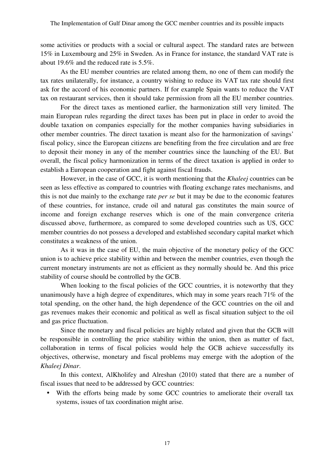some activities or products with a social or cultural aspect. The standard rates are between 15% in Luxembourg and 25% in Sweden. As in France for instance, the standard VAT rate is about 19.6% and the reduced rate is 5.5%.

 As the EU member countries are related among them, no one of them can modify the tax rates unilaterally, for instance, a country wishing to reduce its VAT tax rate should first ask for the accord of his economic partners. If for example Spain wants to reduce the VAT tax on restaurant services, then it should take permission from all the EU member countries.

 For the direct taxes as mentioned earlier, the harmonization still very limited. The main European rules regarding the direct taxes has been put in place in order to avoid the double taxation on companies especially for the mother companies having subsidiaries in other member countries. The direct taxation is meant also for the harmonization of savings' fiscal policy, since the European citizens are benefiting from the free circulation and are free to deposit their money in any of the member countries since the launching of the EU. But overall, the fiscal policy harmonization in terms of the direct taxation is applied in order to establish a European cooperation and fight against fiscal frauds.

 However, in the case of GCC, it is worth mentioning that the *Khaleej* countries can be seen as less effective as compared to countries with floating exchange rates mechanisms, and this is not due mainly to the exchange rate *per se* but it may be due to the economic features of these countries, for instance, crude oil and natural gas constitutes the main source of income and foreign exchange reserves which is one of the main convergence criteria discussed above, furthermore, as compared to some developed countries such as US, GCC member countries do not possess a developed and established secondary capital market which constitutes a weakness of the union.

 As it was in the case of EU, the main objective of the monetary policy of the GCC union is to achieve price stability within and between the member countries, even though the current monetary instruments are not as efficient as they normally should be. And this price stability of course should be controlled by the GCB.

When looking to the fiscal policies of the GCC countries, it is noteworthy that they unanimously have a high degree of expenditures, which may in some years reach 71% of the total spending, on the other hand, the high dependence of the GCC countries on the oil and gas revenues makes their economic and political as well as fiscal situation subject to the oil and gas price fluctuation.

 Since the monetary and fiscal policies are highly related and given that the GCB will be responsible in controlling the price stability within the union, then as matter of fact, collaboration in terms of fiscal policies would help the GCB achieve successfully its objectives, otherwise, monetary and fiscal problems may emerge with the adoption of the *Khaleej Dinar*.

 In this context, AlKholifey and Alreshan (2010) stated that there are a number of fiscal issues that need to be addressed by GCC countries:

• With the efforts being made by some GCC countries to ameliorate their overall tax systems, issues of tax coordination might arise.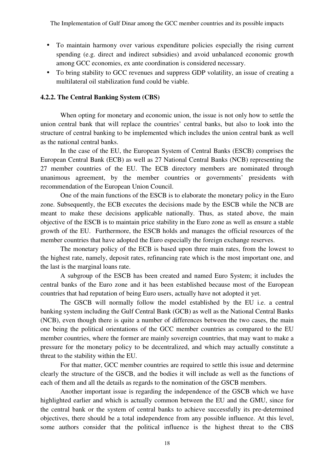The Implementation of Gulf Dinar among the GCC member countries and its possible impacts

- To maintain harmony over various expenditure policies especially the rising current spending (e.g. direct and indirect subsidies) and avoid unbalanced economic growth among GCC economies, ex ante coordination is considered necessary.
- To bring stability to GCC revenues and suppress GDP volatility, an issue of creating a multilateral oil stabilization fund could be viable.

#### **4.2.2. The Central Banking System (CBS)**

When opting for monetary and economic union, the issue is not only how to settle the union central bank that will replace the countries' central banks, but also to look into the structure of central banking to be implemented which includes the union central bank as well as the national central banks.

In the case of the EU, the European System of Central Banks (ESCB) comprises the European Central Bank (ECB) as well as 27 National Central Banks (NCB) representing the 27 member countries of the EU. The ECB directory members are nominated through unanimous agreement, by the member countries or governments' presidents with recommendation of the European Union Council.

One of the main functions of the ESCB is to elaborate the monetary policy in the Euro zone. Subsequently, the ECB executes the decisions made by the ESCB while the NCB are meant to make these decisions applicable nationally. Thus, as stated above, the main objective of the ESCB is to maintain price stability in the Euro zone as well as ensure a stable growth of the EU. Furthermore, the ESCB holds and manages the official resources of the member countries that have adopted the Euro especially the foreign exchange reserves.

The monetary policy of the ECB is based upon three main rates, from the lowest to the highest rate, namely, deposit rates, refinancing rate which is the most important one, and the last is the marginal loans rate.

A subgroup of the ESCB has been created and named Euro System; it includes the central banks of the Euro zone and it has been established because most of the European countries that had reputation of being Euro users, actually have not adopted it yet.

The GSCB will normally follow the model established by the EU i.e. a central banking system including the Gulf Central Bank (GCB) as well as the National Central Banks (NCB), even though there is quite a number of differences between the two cases, the main one being the political orientations of the GCC member countries as compared to the EU member countries, where the former are mainly sovereign countries, that may want to make a pressure for the monetary policy to be decentralized, and which may actually constitute a threat to the stability within the EU.

For that matter, GCC member countries are required to settle this issue and determine clearly the structure of the GSCB, and the bodies it will include as well as the functions of each of them and all the details as regards to the nomination of the GSCB members.

Another important issue is regarding the independence of the GSCB which we have highlighted earlier and which is actually common between the EU and the GMU, since for the central bank or the system of central banks to achieve successfully its pre-determined objectives, there should be a total independence from any possible influence. At this level, some authors consider that the political influence is the highest threat to the CBS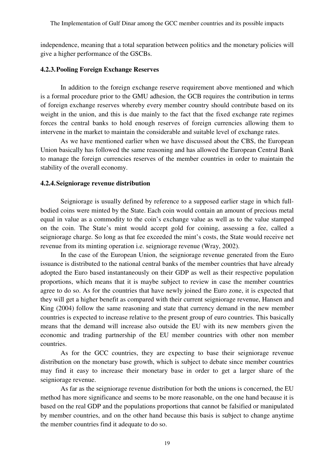independence, meaning that a total separation between politics and the monetary policies will give a higher performance of the GSCBs.

#### **4.2.3.Pooling Foreign Exchange Reserves**

In addition to the foreign exchange reserve requirement above mentioned and which is a formal procedure prior to the GMU adhesion, the GCB requires the contribution in terms of foreign exchange reserves whereby every member country should contribute based on its weight in the union, and this is due mainly to the fact that the fixed exchange rate regimes forces the central banks to hold enough reserves of foreign currencies allowing them to intervene in the market to maintain the considerable and suitable level of exchange rates.

 As we have mentioned earlier when we have discussed about the CBS, the European Union basically has followed the same reasoning and has allowed the European Central Bank to manage the foreign currencies reserves of the member countries in order to maintain the stability of the overall economy.

#### **4.2.4.Seigniorage revenue distribution**

Seigniorage is usually defined by reference to a supposed earlier stage in which fullbodied coins were minted by the State. Each coin would contain an amount of precious metal equal in value as a commodity to the coin's exchange value as well as to the value stamped on the coin. The State's mint would accept gold for coining, assessing a fee, called a seigniorage charge. So long as that fee exceeded the mint's costs, the State would receive net revenue from its minting operation i.e. seigniorage revenue (Wray, 2002).

In the case of the European Union, the seigniorage revenue generated from the Euro issuance is distributed to the national central banks of the member countries that have already adopted the Euro based instantaneously on their GDP as well as their respective population proportions, which means that it is maybe subject to review in case the member countries agree to do so. As for the countries that have newly joined the Euro zone, it is expected that they will get a higher benefit as compared with their current seigniorage revenue, Hansen and King (2004) follow the same reasoning and state that currency demand in the new member countries is expected to increase relative to the present group of euro countries. This basically means that the demand will increase also outside the EU with its new members given the economic and trading partnership of the EU member countries with other non member countries.

As for the GCC countries, they are expecting to base their seigniorage revenue distribution on the monetary base growth, which is subject to debate since member countries may find it easy to increase their monetary base in order to get a larger share of the seigniorage revenue.

As far as the seigniorage revenue distribution for both the unions is concerned, the EU method has more significance and seems to be more reasonable, on the one hand because it is based on the real GDP and the populations proportions that cannot be falsified or manipulated by member countries, and on the other hand because this basis is subject to change anytime the member countries find it adequate to do so.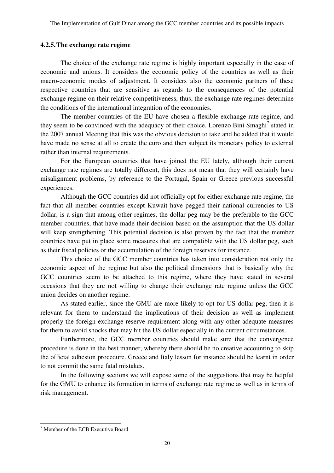#### **4.2.5.The exchange rate regime**

The choice of the exchange rate regime is highly important especially in the case of economic and unions. It considers the economic policy of the countries as well as their macro-economic modes of adjustment. It considers also the economic partners of these respective countries that are sensitive as regards to the consequences of the potential exchange regime on their relative competitiveness, thus, the exchange rate regimes determine the conditions of the international integration of the economies.

The member countries of the EU have chosen a flexible exchange rate regime, and they seem to be convinced with the adequacy of their choice, Lorenzo Bini Smaghi<sup>7</sup> stated in the 2007 annual Meeting that this was the obvious decision to take and he added that it would have made no sense at all to create the euro and then subject its monetary policy to external rather than internal requirements.

 For the European countries that have joined the EU lately, although their current exchange rate regimes are totally different, this does not mean that they will certainly have misalignment problems, by reference to the Portugal, Spain or Greece previous successful experiences.

Although the GCC countries did not officially opt for either exchange rate regime, the fact that all member countries except Kuwait have pegged their national currencies to US dollar, is a sign that among other regimes, the dollar peg may be the preferable to the GCC member countries, that have made their decision based on the assumption that the US dollar will keep strengthening. This potential decision is also proven by the fact that the member countries have put in place some measures that are compatible with the US dollar peg, such as their fiscal policies or the accumulation of the foreign reserves for instance.

 This choice of the GCC member countries has taken into consideration not only the economic aspect of the regime but also the political dimensions that is basically why the GCC countries seem to be attached to this regime, where they have stated in several occasions that they are not willing to change their exchange rate regime unless the GCC union decides on another regime.

As stated earlier, since the GMU are more likely to opt for US dollar peg, then it is relevant for them to understand the implications of their decision as well as implement properly the foreign exchange reserve requirement along with any other adequate measures for them to avoid shocks that may hit the US dollar especially in the current circumstances.

Furthermore, the GCC member countries should make sure that the convergence procedure is done in the best manner, whereby there should be no creative accounting to skip the official adhesion procedure. Greece and Italy lesson for instance should be learnt in order to not commit the same fatal mistakes.

In the following sections we will expose some of the suggestions that may be helpful for the GMU to enhance its formation in terms of exchange rate regime as well as in terms of risk management.

 7 Member of the ECB Executive Board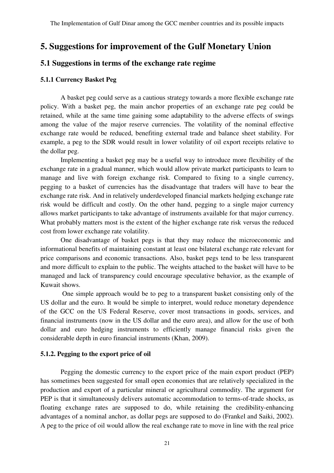# **5. Suggestions for improvement of the Gulf Monetary Union**

#### **5.1 Suggestions in terms of the exchange rate regime**

#### **5.1.1 Currency Basket Peg**

A basket peg could serve as a cautious strategy towards a more flexible exchange rate policy. With a basket peg, the main anchor properties of an exchange rate peg could be retained, while at the same time gaining some adaptability to the adverse effects of swings among the value of the major reserve currencies. The volatility of the nominal effective exchange rate would be reduced, benefiting external trade and balance sheet stability. For example, a peg to the SDR would result in lower volatility of oil export receipts relative to the dollar peg.

Implementing a basket peg may be a useful way to introduce more flexibility of the exchange rate in a gradual manner, which would allow private market participants to learn to manage and live with foreign exchange risk. Compared to fixing to a single currency, pegging to a basket of currencies has the disadvantage that traders will have to bear the exchange rate risk. And in relatively underdeveloped financial markets hedging exchange rate risk would be difficult and costly. On the other hand, pegging to a single major currency allows market participants to take advantage of instruments available for that major currency. What probably matters most is the extent of the higher exchange rate risk versus the reduced cost from lower exchange rate volatility.

One disadvantage of basket pegs is that they may reduce the microeconomic and informational benefits of maintaining constant at least one bilateral exchange rate relevant for price comparisons and economic transactions. Also, basket pegs tend to be less transparent and more difficult to explain to the public. The weights attached to the basket will have to be managed and lack of transparency could encourage speculative behavior, as the example of Kuwait shows.

 One simple approach would be to peg to a transparent basket consisting only of the US dollar and the euro. It would be simple to interpret, would reduce monetary dependence of the GCC on the US Federal Reserve, cover most transactions in goods, services, and financial instruments (now in the US dollar and the euro area), and allow for the use of both dollar and euro hedging instruments to efficiently manage financial risks given the considerable depth in euro financial instruments (Khan, 2009).

#### **5.1.2. Pegging to the export price of oil**

Pegging the domestic currency to the export price of the main export product (PEP) has sometimes been suggested for small open economies that are relatively specialized in the production and export of a particular mineral or agricultural commodity. The argument for PEP is that it simultaneously delivers automatic accommodation to terms-of-trade shocks, as floating exchange rates are supposed to do, while retaining the credibility-enhancing advantages of a nominal anchor, as dollar pegs are supposed to do (Frankel and Saiki, 2002). A peg to the price of oil would allow the real exchange rate to move in line with the real price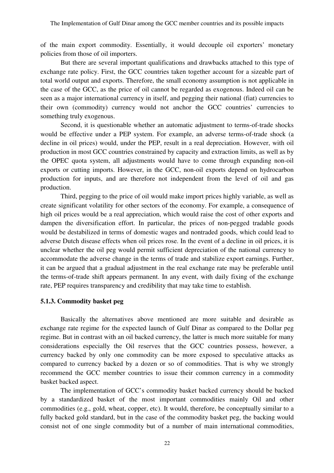of the main export commodity. Essentially, it would decouple oil exporters' monetary policies from those of oil importers.

But there are several important qualifications and drawbacks attached to this type of exchange rate policy. First, the GCC countries taken together account for a sizeable part of total world output and exports. Therefore, the small economy assumption is not applicable in the case of the GCC, as the price of oil cannot be regarded as exogenous. Indeed oil can be seen as a major international currency in itself, and pegging their national (fiat) currencies to their own (commodity) currency would not anchor the GCC countries' currencies to something truly exogenous.

Second, it is questionable whether an automatic adjustment to terms-of-trade shocks would be effective under a PEP system. For example, an adverse terms-of-trade shock (a decline in oil prices) would, under the PEP, result in a real depreciation. However, with oil production in most GCC countries constrained by capacity and extraction limits, as well as by the OPEC quota system, all adjustments would have to come through expanding non-oil exports or cutting imports. However, in the GCC, non-oil exports depend on hydrocarbon production for inputs, and are therefore not independent from the level of oil and gas production.

Third, pegging to the price of oil would make import prices highly variable, as well as create significant volatility for other sectors of the economy. For example, a consequence of high oil prices would be a real appreciation, which would raise the cost of other exports and dampen the diversification effort. In particular, the prices of non-pegged tradable goods would be destabilized in terms of domestic wages and nontraded goods, which could lead to adverse Dutch disease effects when oil prices rose. In the event of a decline in oil prices, it is unclear whether the oil peg would permit sufficient depreciation of the national currency to accommodate the adverse change in the terms of trade and stabilize export earnings. Further, it can be argued that a gradual adjustment in the real exchange rate may be preferable until the terms-of-trade shift appears permanent. In any event, with daily fixing of the exchange rate, PEP requires transparency and credibility that may take time to establish.

#### **5.1.3. Commodity basket peg**

Basically the alternatives above mentioned are more suitable and desirable as exchange rate regime for the expected launch of Gulf Dinar as compared to the Dollar peg regime. But in contrast with an oil backed currency, the latter is much more suitable for many considerations especially the Oil reserves that the GCC countries possess, however, a currency backed by only one commodity can be more exposed to speculative attacks as compared to currency backed by a dozen or so of commodities. That is why we strongly recommend the GCC member countries to issue their common currency in a commodity basket backed aspect.

The implementation of GCC's commodity basket backed currency should be backed by a standardized basket of the most important commodities mainly Oil and other commodities (e.g., gold, wheat, copper, etc). It would, therefore, be conceptually similar to a fully backed gold standard, but in the case of the commodity basket peg, the backing would consist not of one single commodity but of a number of main international commodities,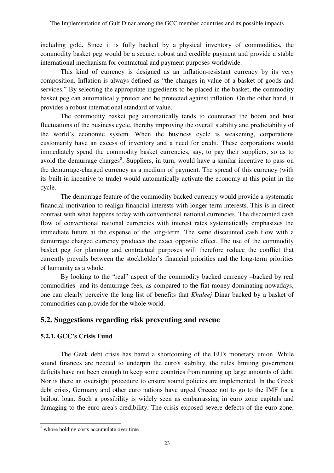including gold. Since it is fully backed by a physical inventory of commodities, the commodity basket peg would be a secure, robust and credible payment and provide a stable international mechanism for contractual and payment purposes worldwide.

This kind of currency is designed as an inflation-resistant currency by its very composition. Inflation is always defined as "the changes in value of a basket of goods and services." By selecting the appropriate ingredients to be placed in the basket, the commodity basket peg can automatically protect and be protected against inflation. On the other hand, it provides a robust international standard of value.

The commodity basket peg automatically tends to counteract the boom and bust fluctuations of the business cycle, thereby improving the overall stability and predictability of the world's economic system. When the business cycle is weakening, corporations customarily have an excess of inventory and a need for credit. These corporations would immediately spend the commodity basket currencies, say, to pay their suppliers, so as to avoid the demurrage charges<sup>8</sup>. Suppliers, in turn, would have a similar incentive to pass on the demurrage-charged currency as a medium of payment. The spread of this currency (with its built-in incentive to trade) would automatically activate the economy at this point in the cycle.

The demurrage feature of the commodity backed currency would provide a systematic financial motivation to realign financial interests with longer-term interests. This is in direct contrast with what happens today with conventional national currencies. The discounted cash flow of conventional national currencies with interest rates systematically emphasizes the immediate future at the expense of the long-term. The same discounted cash flow with a demurrage charged currency produces the exact opposite effect. The use of the commodity basket peg for planning and contractual purposes will therefore reduce the conflict that currently prevails between the stockholder's financial priorities and the long-term priorities of humanity as a whole.

By looking to the "real" aspect of the commodity backed currency –backed by real commodities- and its demurrage fees, as compared to the fiat money dominating nowadays, one can clearly perceive the long list of benefits that *Khaleej* Dinar backed by a basket of commodities can provide for the whole world.

# **5.2. Suggestions regarding risk preventing and rescue**

# **5.2.1. GCC's Crisis Fund**

The Geek debt crisis has bared a shortcoming of the EU's monetary union. While sound finances are needed to underpin the euro's stability, the rules limiting government deficits have not been enough to keep some countries from running up large amounts of debt. Nor is there an oversight procedure to ensure sound policies are implemented. In the Greek debt crisis, Germany and other euro nations have urged Greece not to go to the IMF for a bailout loan. Such a possibility is widely seen as embarrassing in euro zone capitals and damaging to the euro area's credibility. The crisis exposed severe defects of the euro zone,

<sup>&</sup>lt;sup>8</sup> whose holding costs accumulate over time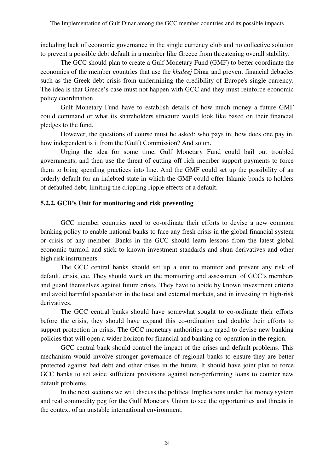including lack of economic governance in the single currency club and no collective solution to prevent a possible debt default in a member like Greece from threatening overall stability.

The GCC should plan to create a Gulf Monetary Fund (GMF) to better coordinate the economies of the member countries that use the *khaleej* Dinar and prevent financial debacles such as the Greek debt crisis from undermining the credibility of Europe's single currency. The idea is that Greece's case must not happen with GCC and they must reinforce economic policy coordination.

Gulf Monetary Fund have to establish details of how much money a future GMF could command or what its shareholders structure would look like based on their financial pledges to the fund.

However, the questions of course must be asked: who pays in, how does one pay in, how independent is it from the (Gulf) Commission? And so on.

Urging the idea for some time, Gulf Monetary Fund could bail out troubled governments, and then use the threat of cutting off rich member support payments to force them to bring spending practices into line. And the GMF could set up the possibility of an orderly default for an indebted state in which the GMF could offer Islamic bonds to holders of defaulted debt, limiting the crippling ripple effects of a default.

#### **5.2.2. GCB's Unit for monitoring and risk preventing**

GCC member countries need to co-ordinate their efforts to devise a new common banking policy to enable national banks to face any fresh crisis in the global financial system or crisis of any member. Banks in the GCC should learn lessons from the latest global economic turmoil and stick to known investment standards and shun derivatives and other high risk instruments.

The GCC central banks should set up a unit to monitor and prevent any risk of default, crisis, etc. They should work on the monitoring and assessment of GCC's members and guard themselves against future crises. They have to abide by known investment criteria and avoid harmful speculation in the local and external markets, and in investing in high-risk derivatives.

The GCC central banks should have somewhat sought to co-ordinate their efforts before the crisis, they should have expand this co-ordination and double their efforts to support protection in crisis. The GCC monetary authorities are urged to devise new banking policies that will open a wider horizon for financial and banking co-operation in the region.

GCC central bank should control the impact of the crises and default problems. This mechanism would involve stronger governance of regional banks to ensure they are better protected against bad debt and other crises in the future. It should have joint plan to force GCC banks to set aside sufficient provisions against non-performing loans to counter new default problems.

In the next sections we will discuss the political Implications under fiat money system and real commodity peg for the Gulf Monetary Union to see the opportunities and threats in the context of an unstable international environment.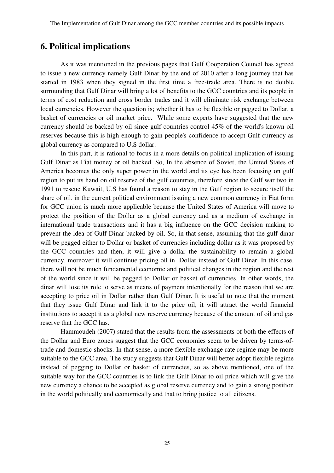# **6. Political implications**

As it was mentioned in the previous pages that Gulf Cooperation Council has agreed to issue a new currency namely Gulf Dinar by the end of 2010 after a long journey that has started in 1983 when they signed in the first time a free-trade area. There is no double surrounding that Gulf Dinar will bring a lot of benefits to the GCC countries and its people in terms of cost reduction and cross border trades and it will eliminate risk exchange between local currencies. However the question is; whether it has to be flexible or pegged to Dollar, a basket of currencies or oil market price. While some experts have suggested that the new currency should be backed by oil since gulf countries control 45% of the world's known oil reserves because this is high enough to gain people's confidence to accept Gulf currency as global currency as compared to U.S dollar.

In this part, it is rational to focus in a more details on political implication of issuing Gulf Dinar as Fiat money or oil backed. So, In the absence of Soviet, the United States of America becomes the only super power in the world and its eye has been focusing on gulf region to put its hand on oil reserve of the gulf countries, therefore since the Gulf war two in 1991 to rescue Kuwait, U.S has found a reason to stay in the Gulf region to secure itself the share of oil. in the current political environment issuing a new common currency in Fiat form for GCC union is much more applicable because the United States of America will move to protect the position of the Dollar as a global currency and as a medium of exchange in international trade transactions and it has a big influence on the GCC decision making to prevent the idea of Gulf Dinar backed by oil. So, in that sense, assuming that the gulf dinar will be pegged either to Dollar or basket of currencies including dollar as it was proposed by the GCC countries and then, it will give a dollar the sustainability to remain a global currency, moreover it will continue pricing oil in Dollar instead of Gulf Dinar. In this case, there will not be much fundamental economic and political changes in the region and the rest of the world since it will be pegged to Dollar or basket of currencies. In other words, the dinar will lose its role to serve as means of payment intentionally for the reason that we are accepting to price oil in Dollar rather than Gulf Dinar. It is useful to note that the moment that they issue Gulf Dinar and link it to the price oil, it will attract the world financial institutions to accept it as a global new reserve currency because of the amount of oil and gas reserve that the GCC has.

Hammoudeh (2007) stated that the results from the assessments of both the effects of the Dollar and Euro zones suggest that the GCC economies seem to be driven by terms-oftrade and domestic shocks. In that sense, a more flexible exchange rate regime may be more suitable to the GCC area. The study suggests that Gulf Dinar will better adopt flexible regime instead of pegging to Dollar or basket of currencies, so as above mentioned, one of the suitable way for the GCC countries is to link the Gulf Dinar to oil price which will give the new currency a chance to be accepted as global reserve currency and to gain a strong position in the world politically and economically and that to bring justice to all citizens.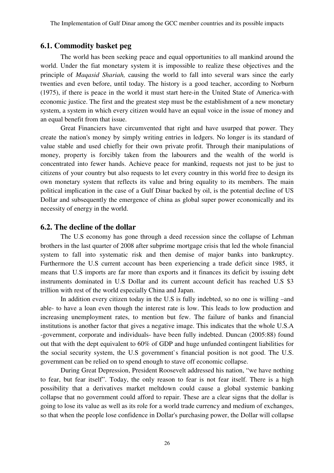#### **6.1. Commodity basket peg**

The world has been seeking peace and equal opportunities to all mankind around the world. Under the fiat monetary system it is impossible to realize these objectives and the principle of *Maqasid Shariah,* causing the world to fall into several wars since the early twenties and even before, until today. The history is a good teacher, according to Norburn (1975), if there is peace in the world it must start here-in the United State of America-with economic justice. The first and the greatest step must be the establishment of a new monetary system, a system in which every citizen would have an equal voice in the issue of money and an equal benefit from that issue.

Great Financiers have circumvented that right and have usurped that power. They create the nation's money by simply writing entries in ledgers. No longer is its standard of value stable and used chiefly for their own private profit. Through their manipulations of money, property is forcibly taken from the labourers and the wealth of the world is concentrated into fewer hands. Achieve peace for mankind, requests not just to be just to citizens of your country but also requests to let every country in this world free to design its own monetary system that reflects its value and bring equality to its members. The main political implication in the case of a Gulf Dinar backed by oil, is the potential decline of US Dollar and subsequently the emergence of china as global super power economically and its necessity of energy in the world.

#### **6.2. The decline of the dollar**

The U.S economy has gone through a deed recession since the collapse of Lehman brothers in the last quarter of 2008 after subprime mortgage crisis that led the whole financial system to fall into systematic risk and then demise of major banks into bankruptcy. Furthermore the U.S current account has been experiencing a trade deficit since 1985, it means that U.S imports are far more than exports and it finances its deficit by issuing debt instruments dominated in U.S Dollar and its current account deficit has reached U.S \$3 trillion with rest of the world especially China and Japan.

In addition every citizen today in the U.S is fully indebted, so no one is willing –and able- to have a loan even though the interest rate is low. This leads to low production and increasing unemployment rates, to mention but few. The failure of banks and financial institutions is another factor that gives a negative image. This indicates that the whole U.S.A -government, corporate and individuals- have been fully indebted. Duncan (2005:88) found out that with the dept equivalent to 60% of GDP and huge unfunded contingent liabilities for the social security system, the U.S government`s financial position is not good. The U.S. government can be relied on to spend enough to stave off economic collapse.

During Great Depression, President Roosevelt addressed his nation, "we have nothing to fear, but fear itself". Today, the only reason to fear is not fear itself. There is a high possibility that a derivatives market meltdown could cause a global systemic banking collapse that no government could afford to repair. These are a clear signs that the dollar is going to lose its value as well as its role for a world trade currency and medium of exchanges, so that when the people lose confidence in Dollar's purchasing power, the Dollar will collapse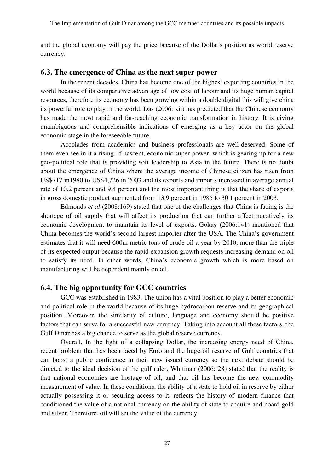and the global economy will pay the price because of the Dollar's position as world reserve currency.

#### **6.3. The emergence of China as the next super power**

In the recent decades, China has become one of the highest exporting countries in the world because of its comparative advantage of low cost of labour and its huge human capital resources, therefore its economy has been growing within a double digital this will give china its powerful role to play in the world. Das (2006: xii) has predicted that the Chinese economy has made the most rapid and far-reaching economic transformation in history. It is giving unambiguous and comprehensible indications of emerging as a key actor on the global economic stage in the foreseeable future.

Accolades from academics and business professionals are well-deserved. Some of them even see in it a rising, if nascent, economic super-power, which is gearing up for a new geo-political role that is providing soft leadership to Asia in the future. There is no doubt about the emergence of China where the average income of Chinese citizen has risen from US\$717 in1980 to US\$4,726 in 2003 and its exports and imports increased in average annual rate of 10.2 percent and 9.4 percent and the most important thing is that the share of exports in gross domestic product augmented from 13.9 percent in 1985 to 30.1 percent in 2003.

Edmonds *et al* (2008:169) stated that one of the challenges that China is facing is the shortage of oil supply that will affect its production that can further affect negatively its economic development to maintain its level of exports. Gokay (2006:141) mentioned that China becomes the world's second largest importer after the USA. The China's government estimates that it will need 600m metric tons of crude oil a year by 2010, more than the triple of its expected output because the rapid expansion growth requests increasing demand on oil to satisfy its need. In other words, China's economic growth which is more based on manufacturing will be dependent mainly on oil.

# **6.4. The big opportunity for GCC countries**

GCC was established in 1983. The union has a vital position to play a better economic and political role in the world because of its huge hydrocarbon reserve and its geographical position. Moreover, the similarity of culture, language and economy should be positive factors that can serve for a successful new currency. Taking into account all these factors, the Gulf Dinar has a big chance to serve as the global reserve currency.

Overall, In the light of a collapsing Dollar, the increasing energy need of China, recent problem that has been faced by Euro and the huge oil reserve of Gulf countries that can boost a public confidence in their new issued currency so the next debate should be directed to the ideal decision of the gulf ruler, Whitman (2006: 28) stated that the reality is that national economies are hostage of oil, and that oil has become the new commodity measurement of value. In these conditions, the ability of a state to hold oil in reserve by either actually possessing it or securing access to it, reflects the history of modern finance that conditioned the value of a national currency on the ability of state to acquire and hoard gold and silver. Therefore, oil will set the value of the currency.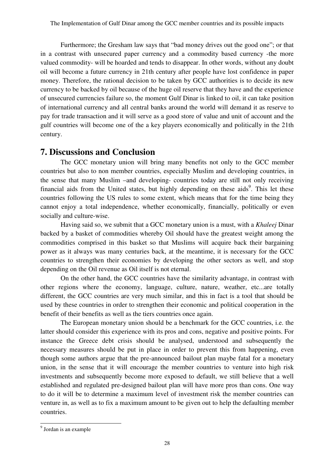Furthermore; the Gresham law says that "bad money drives out the good one"; or that in a contrast with unsecured paper currency and a commodity based currency -the more valued commodity- will be hoarded and tends to disappear. In other words, without any doubt oil will become a future currency in 21th century after people have lost confidence in paper money. Therefore, the rational decision to be taken by GCC authorities is to decide its new currency to be backed by oil because of the huge oil reserve that they have and the experience of unsecured currencies failure so, the moment Gulf Dinar is linked to oil, it can take position of international currency and all central banks around the world will demand it as reserve to pay for trade transaction and it will serve as a good store of value and unit of account and the gulf countries will become one of the a key players economically and politically in the 21th century.

# **7. Discussions and Conclusion**

The GCC monetary union will bring many benefits not only to the GCC member countries but also to non member countries, especially Muslim and developing countries, in the sense that many Muslim –and developing- countries today are still not only receiving financial aids from the United states, but highly depending on these aids<sup>9</sup>. This let these countries following the US rules to some extent, which means that for the time being they cannot enjoy a total independence, whether economically, financially, politically or even socially and culture-wise.

Having said so, we submit that a GCC monetary union is a must, with a *Khaleej* Dinar backed by a basket of commodities whereby Oil should have the greatest weight among the commodities comprised in this basket so that Muslims will acquire back their bargaining power as it always was many centuries back, at the meantime, it is necessary for the GCC countries to strengthen their economies by developing the other sectors as well, and stop depending on the Oil revenue as Oil itself is not eternal.

On the other hand, the GCC countries have the similarity advantage, in contrast with other regions where the economy, language, culture, nature, weather, etc...are totally different, the GCC countries are very much similar, and this in fact is a tool that should be used by these countries in order to strengthen their economic and political cooperation in the benefit of their benefits as well as the tiers countries once again.

The European monetary union should be a benchmark for the GCC countries, i.e. the latter should consider this experience with its pros and cons, negative and positive points. For instance the Greece debt crisis should be analysed, understood and subsequently the necessary measures should be put in place in order to prevent this from happening, even though some authors argue that the pre-announced bailout plan maybe fatal for a monetary union, in the sense that it will encourage the member countries to venture into high risk investments and subsequently become more exposed to default, we still believe that a well established and regulated pre-designed bailout plan will have more pros than cons. One way to do it will be to determine a maximum level of investment risk the member countries can venture in, as well as to fix a maximum amount to be given out to help the defaulting member countries.

<sup>&</sup>lt;sup>9</sup> Jordan is an example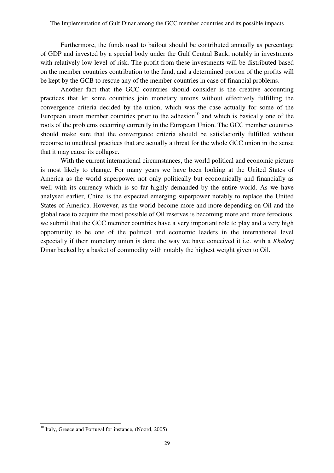Furthermore, the funds used to bailout should be contributed annually as percentage of GDP and invested by a special body under the Gulf Central Bank, notably in investments with relatively low level of risk. The profit from these investments will be distributed based on the member countries contribution to the fund, and a determined portion of the profits will be kept by the GCB to rescue any of the member countries in case of financial problems.

Another fact that the GCC countries should consider is the creative accounting practices that let some countries join monetary unions without effectively fulfilling the convergence criteria decided by the union, which was the case actually for some of the European union member countries prior to the adhesion<sup>10</sup> and which is basically one of the roots of the problems occurring currently in the European Union. The GCC member countries should make sure that the convergence criteria should be satisfactorily fulfilled without recourse to unethical practices that are actually a threat for the whole GCC union in the sense that it may cause its collapse.

With the current international circumstances, the world political and economic picture is most likely to change. For many years we have been looking at the United States of America as the world superpower not only politically but economically and financially as well with its currency which is so far highly demanded by the entire world. As we have analysed earlier, China is the expected emerging superpower notably to replace the United States of America. However, as the world become more and more depending on Oil and the global race to acquire the most possible of Oil reserves is becoming more and more ferocious, we submit that the GCC member countries have a very important role to play and a very high opportunity to be one of the political and economic leaders in the international level especially if their monetary union is done the way we have conceived it i.e. with a *Khaleej* Dinar backed by a basket of commodity with notably the highest weight given to Oil.

 $\overline{a}$ 

<sup>&</sup>lt;sup>10</sup> Italy, Greece and Portugal for instance, (Noord, 2005)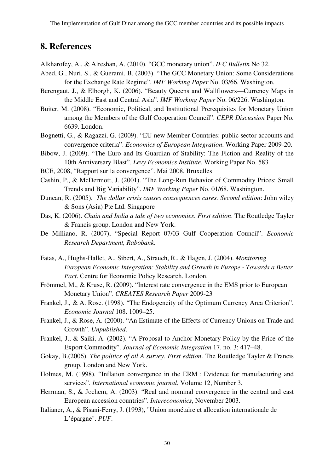The Implementation of Gulf Dinar among the GCC member countries and its possible impacts

# **8. References**

Alkharofey, A., & Alreshan, A. (2010). "GCC monetary union". *IFC Bulletin* No 32.

- Abed, G., Nuri, S., & Guerami, B. (2003). "The GCC Monetary Union: Some Considerations for the Exchange Rate Regime". *IMF Working Paper* No. 03/66. Washington.
- Berengaut, J., & Elborgh, K. (2006). "Beauty Queens and Wallflowers—Currency Maps in the Middle East and Central Asia". *IMF Working Paper* No. 06/226. Washington.
- Buiter, M. (2008). "Economic, Political, and Institutional Prerequisites for Monetary Union among the Members of the Gulf Cooperation Council". *CEPR Discussion* Paper No. 6639. London.
- Bognetti, G., & Ragazzi, G. (2009). "EU new Member Countries: public sector accounts and convergence criteria". *Economics of European Integration*. Working Paper 2009-20.
- Bibow, J. (2009). "The Euro and Its Guardian of Stability: The Fiction and Reality of the 10th Anniversary Blast". *Levy Economics Institute*, Working Paper No. 583
- BCE, 2008, "Rapport sur la convergence". Mai 2008, Bruxelles
- Cashin, P., & McDermott, J. (2001). "The Long-Run Behavior of Commodity Prices: Small Trends and Big Variability". *IMF Working Paper* No. 01/68. Washington.
- Duncan, R. (2005). *The dollar crisis causes consequences cures. Second edition*: John wiley & Sons (Asia) Pte Ltd. Singapore
- Das, K. (2006). *Chain and India a tale of two economies*. *First edition*. The Routledge Tayler & Francis group. London and New York.
- De Milliano, R. (2007), "Special Report 07/03 Gulf Cooperation Council". *Economic Research Department, Rabobank*.
- Fatas, A., Hughs-Hallet, A., Sibert, A., Strauch, R., & Hagen, J. (2004). *Monitoring European Economic Integration: Stability and Growth in Europe - Towards a Better Pact*. Centre for Economic Policy Research. London.
- Frömmel, M., & Kruse, R. (2009). "Interest rate convergence in the EMS prior to European Monetary Union". *CREATES Research Paper* 2009-23
- Frankel, J., & A. Rose. (1998). "The Endogeneity of the Optimum Currency Area Criterion". *Economic Journal* 108. 1009–25.
- Frankel, J., & Rose, A. (2000). "An Estimate of the Effects of Currency Unions on Trade and Growth". *Unpublished*.
- Frankel, J., & Saiki, A. (2002). "A Proposal to Anchor Monetary Policy by the Price of the Export Commodity". *Journal of Economic Integration* 17, no. 3: 417–48.
- Gokay, B.(2006). *The politics of oil A survey. First edition*. The Routledge Tayler & Francis group. London and New York.
- Holmes, M. (1998). "Inflation convergence in the ERM : Evidence for manufacturing and services". *International economic journal*, Volume 12, Number 3.
- Herrman, S., & Jochem, A. (2003). "Real and nominal convergence in the central and east European accession countries". *Intereconomics*, November 2003.
- Italianer, A., & Pisani-Ferry, J. (1993), "Union monétaire et allocation internationale de L'épargne". *PUF*.